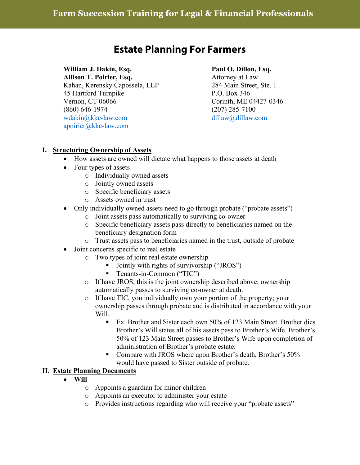# **Estate Planning For Farmers**

# **William J. Dakin, Esq. Paul O. Dillon, Esq.**

**Allison T. Poirier, Esq.** Attorney at Law Kahan, Kerensky Capossela, LLP 284 Main Street, Ste. 1 45 Hartford Turnpike P.O. Box 346 Vernon, CT 06066 Corinth, ME 04427-0346 (860) 646-1974 (207) 285-7100 [wdakin@kkc-law.com](mailto:wdakin@kkc-law.com) [dillaw@dillaw.com](mailto:dillaw@dillaw.com) [apoirier@kkc-law.com](mailto:apoirier@kkc-law.com)

#### **I. Structuring Ownership of Assets**

- How assets are owned will dictate what happens to those assets at death
- Four types of assets
	- o Individually owned assets
	- o Jointly owned assets
	- o Specific beneficiary assets
	- o Assets owned in trust
- Only individually owned assets need to go through probate ("probate assets")
	- o Joint assets pass automatically to surviving co-owner
	- o Specific beneficiary assets pass directly to beneficiaries named on the beneficiary designation form
	- o Trust assets pass to beneficiaries named in the trust, outside of probate
- Joint concerns specific to real estate
	- o Two types of joint real estate ownership
		- Jointly with rights of survivorship ("JROS")
		- **Tenants-in-Common ("TIC")**
	- o If have JROS, this is the joint ownership described above; ownership automatically passes to surviving co-owner at death.
	- o If have TIC, you individually own your portion of the property; your ownership passes through probate and is distributed in accordance with your Will.
		- Ex. Brother and Sister each own 50% of 123 Main Street. Brother dies. Brother's Will states all of his assets pass to Brother's Wife. Brother's 50% of 123 Main Street passes to Brother's Wife upon completion of administration of Brother's probate estate.
		- Compare with JROS where upon Brother's death, Brother's 50% would have passed to Sister outside of probate.

#### **II. Estate Planning Documents**

- **Will**
	- o Appoints a guardian for minor children
	- o Appoints an executor to administer your estate
	- o Provides instructions regarding who will receive your "probate assets"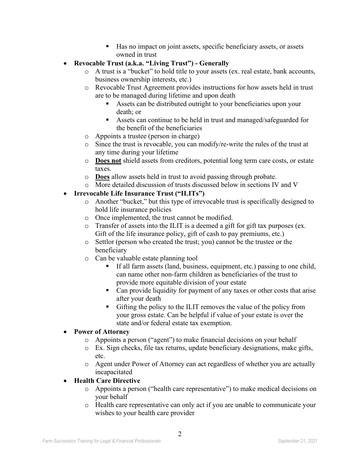- Has no impact on joint assets, specific beneficiary assets, or assets owned in trust
- **Revocable Trust (a.k.a. "Living Trust") - Generally**
	- o A trust is a "bucket" to hold title to your assets (ex. real estate, bank accounts, business ownership interests, etc.)
	- o Revocable Trust Agreement provides instructions for how assets held in trust are to be managed during lifetime and upon death
		- Assets can be distributed outright to your beneficiaries upon your death; or
		- Assets can continue to be held in trust and managed/safeguarded for the benefit of the beneficiaries
	- o Appoints a trustee (person in charge)
	- o Since the trust is revocable, you can modify/re-write the rules of the trust at any time during your lifetime
	- o **Does not** shield assets from creditors, potential long term care costs, or estate taxes.
	- o **Does** allow assets held in trust to avoid passing through probate.
	- o More detailed discussion of trusts discussed below in sections IV and V

### • **Irrevocable Life Insurance Trust ("ILITs")**

- o Another "bucket," but this type of irrevocable trust is specifically designed to hold life insurance policies
- o Once implemented, the trust cannot be modified.
- o Transfer of assets into the ILIT is a deemed a gift for gift tax purposes (ex. Gift of the life insurance policy, gift of cash to pay premiums, etc.)
- o Settlor (person who created the trust; you) cannot be the trustee or the beneficiary
- o Can be valuable estate planning tool
	- If all farm assets (land, business, equipment, etc.) passing to one child, can name other non-farm children as beneficiaries of the trust to provide more equitable division of your estate
	- Can provide liquidity for payment of any taxes or other costs that arise after your death
	- Gifting the policy to the ILIT removes the value of the policy from your gross estate. Can be helpful if value of your estate is over the state and/or federal estate tax exemption.

#### • **Power of Attorney**

- o Appoints a person ("agent") to make financial decisions on your behalf
- o Ex. Sign checks, file tax returns, update beneficiary designations, make gifts, etc.
- o Agent under Power of Attorney can act regardless of whether you are actually incapacitated

# • **Health Care Directive**

- o Appoints a person ("health care representative") to make medical decisions on your behalf
- o Health care representative can only act if you are unable to communicate your wishes to your health care provider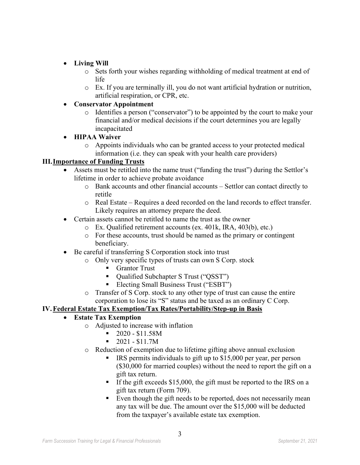# • **Living Will**

- o Sets forth your wishes regarding withholding of medical treatment at end of life
- o Ex. If you are terminally ill, you do not want artificial hydration or nutrition, artificial respiration, or CPR, etc.

#### • **Conservator Appointment**

o Identifies a person ("conservator") to be appointed by the court to make your financial and/or medical decisions if the court determines you are legally incapacitated

### • **HIPAA Waiver**

o Appoints individuals who can be granted access to your protected medical information (i.e. they can speak with your health care providers)

### **III.Importance of Funding Trusts**

- Assets must be retitled into the name trust ("funding the trust") during the Settlor's lifetime in order to achieve probate avoidance
	- $\circ$  Bank accounts and other financial accounts Settlor can contact directly to retitle
	- o Real Estate Requires a deed recorded on the land records to effect transfer. Likely requires an attorney prepare the deed.
- Certain assets cannot be retitled to name the trust as the owner
	- o Ex. Qualified retirement accounts (ex. 401k, IRA, 403(b), etc.)
	- o For these accounts, trust should be named as the primary or contingent beneficiary.
- Be careful if transferring S Corporation stock into trust
	- o Only very specific types of trusts can own S Corp. stock
		- Grantor Trust
		- Qualified Subchapter S Trust ("QSST")
		- Electing Small Business Trust ("ESBT")
	- o Transfer of S Corp. stock to any other type of trust can cause the entire corporation to lose its "S" status and be taxed as an ordinary C Corp.

#### **IV.Federal Estate Tax Exemption/Tax Rates/Portability/Step-up in Basis**

#### • **Estate Tax Exemption**

- $\circ$  Adjusted to increase with inflation<br> $\bullet$  2020 \$11.58M
	- 2020 \$11.58M
	- $-2021 $11.7M$
- o Reduction of exemption due to lifetime gifting above annual exclusion
	- **IRS** permits individuals to gift up to \$15,000 per year, per person (\$30,000 for married couples) without the need to report the gift on a gift tax return.
	- If the gift exceeds  $$15,000$ , the gift must be reported to the IRS on a gift tax return (Form 709).
	- Even though the gift needs to be reported, does not necessarily mean any tax will be due. The amount over the \$15,000 will be deducted from the taxpayer's available estate tax exemption.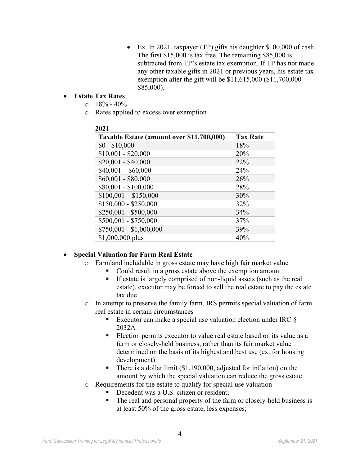• Ex. In 2021, taxpayer (TP) gifts his daughter \$100,000 of cash. The first \$15,000 is tax free. The remaining \$85,000 is subtracted from TP's estate tax exemption. If TP has not made any other taxable gifts in 2021 or previous years, his estate tax exemption after the gift will be \$11,615,000 (\$11,700,000 - \$85,000).

#### • **Estate Tax Rates**

- $\circ$  18% 40%
- o Rates applied to excess over exemption

| Taxable Estate (amount over \$11,700,000) | <b>Tax Rate</b> |
|-------------------------------------------|-----------------|
| $$0 - $10,000$                            | 18%             |
| $$10,001 - $20,000$                       | 20%             |
| $$20,001 - $40,000$                       | 22%             |
| $$40,001 - $60,000$                       | 24%             |
| $$60,001 - $80,000$                       | 26%             |
| \$80,001 - \$100,000                      | 28%             |
| $$100,001 - $150,000$                     | 30%             |
| $$150,000 - $250,000$                     | 32%             |
| \$250,001 - \$500,000                     | 34%             |
| $$500,001 - $750,000$                     | 37%             |
| $$750,001 - $1,000,000$                   | 39%             |
| \$1,000,000 plus                          | 40%             |

# **2021**

#### • **Special Valuation for Farm Real Estate**

- o Farmland includable in gross estate may have high fair market value
	- Could result in a gross estate above the exemption amount
	- $\blacksquare$  If estate is largely comprised of non-liquid assets (such as the real estate), executor may be forced to sell the real estate to pay the estate tax due
- o In attempt to preserve the family farm, IRS permits special valuation of farm real estate in certain circumstances
	- Executor can make a special use valuation election under IRC  $\S$ 2032A
	- Election permits executor to value real estate based on its value as a farm or closely-held business, rather than its fair market value determined on the basis of its highest and best use (ex. for housing development)
	- There is a dollar limit  $(\$1,190,000,$  adjusted for inflation) on the amount by which the special valuation can reduce the gross estate.
- o Requirements for the estate to qualify for special use valuation
	- Decedent was a U.S. citizen or resident;
	- The real and personal property of the farm or closely-held business is at least 50% of the gross estate, less expenses;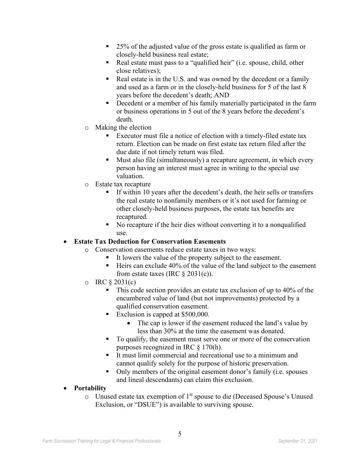- 25% of the adjusted value of the gross estate is qualified as farm or closely-held business real estate;
- Real estate must pass to a "qualified heir" (i.e. spouse, child, other close relatives);
- Real estate is in the U.S. and was owned by the decedent or a family and used as a farm or in the closely-held business for 5 of the last 8 years before the decedent's death; AND
- Decedent or a member of his family materially participated in the farm or business operations in 5 out of the 8 years before the decedent's death.
- o Making the election
	- Executor must file a notice of election with a timely-filed estate tax return. Election can be made on first estate tax return filed after the due date if not timely return was filed.
	- Must also file (simultaneously) a recapture agreement, in which every person having an interest must agree in writing to the special use valuation.
- o Estate tax recapture
	- If within 10 years after the decedent's death, the heir sells or transfers the real estate to nonfamily members or it's not used for farming or other closely-held business purposes, the estate tax benefits are recaptured.
	- No recapture if the heir dies without converting it to a nonqualified use.

#### • **Estate Tax Deduction for Conservation Easements**

- o Conservation easements reduce estate taxes in two ways:
	- It lowers the value of the property subject to the easement.
	- $\blacksquare$  Heirs can exclude 40% of the value of the land subject to the easement from estate taxes (IRC  $\S 2031(c)$ ).
- $\circ$  IRC § 2031(c)
	- This code section provides an estate tax exclusion of up to 40% of the encumbered value of land (but not improvements) protected by a qualified conservation easement.
	- Exclusion is capped at \$500,000.
		- The cap is lower if the easement reduced the land's value by less than 30% at the time the easement was donated.
	- To qualify, the easement must serve one or more of the conservation purposes recognized in IRC § 170(h).
	- It must limit commercial and recreational use to a minimum and cannot qualify solely for the purpose of historic preservation.
	- Only members of the original easement donor's family (i.e. spouses and lineal descendants) can claim this exclusion.
- **Portability**
	- $\circ$  Unused estate tax exemption of 1<sup>st</sup> spouse to die (Deceased Spouse's Unused Exclusion, or "DSUE") is available to surviving spouse.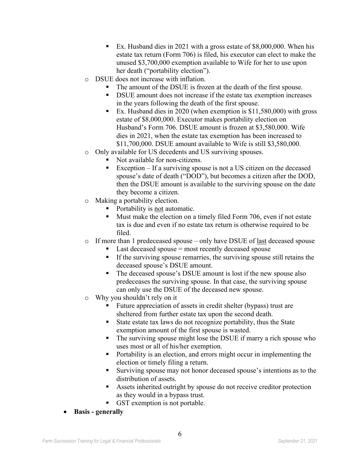- Ex. Husband dies in 2021 with a gross estate of \$8,000,000. When his estate tax return (Form 706) is filed, his executor can elect to make the unused \$3,700,000 exemption available to Wife for her to use upon her death ("portability election").
- o DSUE does not increase with inflation.
	- The amount of the DSUE is frozen at the death of the first spouse.
	- DSUE amount does not increase if the estate tax exemption increases in the years following the death of the first spouse.
	- Ex. Husband dies in 2020 (when exemption is  $$11,580,000$ ) with gross estate of \$8,000,000. Executor makes portability election on Husband's Form 706. DSUE amount is frozen at \$3,580,000. Wife dies in 2021, when the estate tax exemption has been increased to \$11,700,000. DSUE amount available to Wife is still \$3,580,000.
- o Only available for US decedents and US surviving spouses.
	- Not available for non-citizens.
	- Exception If a surviving spouse is not a US citizen on the deceased spouse's date of death ("DOD"), but becomes a citizen after the DOD, then the DSUE amount is available to the surviving spouse on the date they become a citizen.
- o Making a portability election.
	- Portability is not automatic.
	- $\blacksquare$  Must make the election on a timely filed Form 706, even if not estate tax is due and even if no estate tax return is otherwise required to be filed.
- o If more than 1 predeceased spouse only have DSUE of last deceased spouse
	- $\blacksquare$  Last deceased spouse = most recently deceased spouse
	- If the surviving spouse remarries, the surviving spouse still retains the deceased spouse's DSUE amount.
	- The deceased spouse's DSUE amount is lost if the new spouse also predeceases the surviving spouse. In that case, the surviving spouse can only use the DSUE of the deceased new spouse.
- o Why you shouldn't rely on it
	- Future appreciation of assets in credit shelter (bypass) trust are sheltered from further estate tax upon the second death.
	- State estate tax laws do not recognize portability, thus the State exemption amount of the first spouse is wasted.
	- The surviving spouse might lose the DSUE if marry a rich spouse who uses most or all of his/her exemption.
	- Portability is an election, and errors might occur in implementing the election or timely filing a return.
	- Surviving spouse may not honor deceased spouse's intentions as to the distribution of assets.
	- Assets inherited outright by spouse do not receive creditor protection as they would in a bypass trust.
	- GST exemption is not portable.
- **Basis - generally**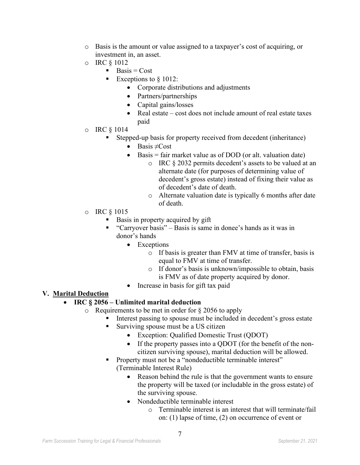- o Basis is the amount or value assigned to a taxpayer's cost of acquiring, or investment in, an asset.
- o IRC § 1012
	- $\blacksquare$  Basis = Cost
	- Exceptions to  $§ 1012$ :
		- Corporate distributions and adjustments
		- Partners/partnerships
		- Capital gains/losses
		- Real estate cost does not include amount of real estate taxes paid
- o IRC § 1014
	- Stepped-up basis for property received from decedent (inheritance)
		- Basis  $\neq$ Cost
		- Basis = fair market value as of DOD (or alt. valuation date)
			- o IRC § 2032 permits decedent's assets to be valued at an alternate date (for purposes of determining value of decedent's gross estate) instead of fixing their value as of decedent's date of death.
			- o Alternate valuation date is typically 6 months after date of death.
- o IRC § 1015
	- Basis in property acquired by gift
	- "Carryover basis" Basis is same in donee's hands as it was in donor's hands
		- Exceptions
			- o If basis is greater than FMV at time of transfer, basis is equal to FMV at time of transfer.
			- o If donor's basis is unknown/impossible to obtain, basis is FMV as of date property acquired by donor.
		- Increase in basis for gift tax paid

#### **V. Marital Deduction**

#### • **IRC § 2056 – Unlimited marital deduction**

- o Requirements to be met in order for § 2056 to apply
	- Interest passing to spouse must be included in decedent's gross estate
		- Surviving spouse must be a US citizen
			- Exception: Qualified Domestic Trust (QDOT)
			- If the property passes into a QDOT (for the benefit of the noncitizen surviving spouse), marital deduction will be allowed.
		- **Property must not be a "nondeductible terminable interest"** (Terminable Interest Rule)
			- Reason behind the rule is that the government wants to ensure the property will be taxed (or includable in the gross estate) of the surviving spouse.
			- Nondeductible terminable interest
				- o Terminable interest is an interest that will terminate/fail on: (1) lapse of time, (2) on occurrence of event or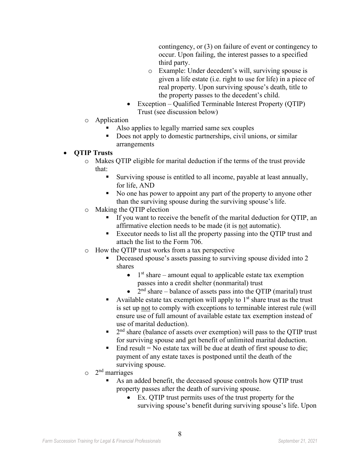contingency, or (3) on failure of event or contingency to occur. Upon failing, the interest passes to a specified third party.

- o Example: Under decedent's will, surviving spouse is given a life estate (i.e. right to use for life) in a piece of real property. Upon surviving spouse's death, title to the property passes to the decedent's child.
- Exception Qualified Terminable Interest Property (QTIP) Trust (see discussion below)
- o Application
	- Also applies to legally married same sex couples
	- Does not apply to domestic partnerships, civil unions, or similar arrangements

#### • **QTIP Trusts**

- o Makes QTIP eligible for marital deduction if the terms of the trust provide that:
	- Surviving spouse is entitled to all income, payable at least annually, for life, AND
	- No one has power to appoint any part of the property to anyone other than the surviving spouse during the surviving spouse's life.
- o Making the QTIP election
	- If you want to receive the benefit of the marital deduction for QTIP, an affirmative election needs to be made (it is not automatic).
	- Executor needs to list all the property passing into the OTIP trust and attach the list to the Form 706.
- o How the QTIP trust works from a tax perspective
	- Deceased spouse's assets passing to surviving spouse divided into 2 shares
		- $\bullet$  1<sup>st</sup> share amount equal to applicable estate tax exemption passes into a credit shelter (nonmarital) trust
		- $2<sup>nd</sup> share balance of assets pass into the OTIP (marital) trust$
	- Available estate tax exemption will apply to  $1<sup>st</sup>$  share trust as the trust is set up not to comply with exceptions to terminable interest rule (will ensure use of full amount of available estate tax exemption instead of use of marital deduction).
	- $\blacksquare$  2<sup>nd</sup> share (balance of assets over exemption) will pass to the QTIP trust for surviving spouse and get benefit of unlimited marital deduction.
	- $\blacksquare$  End result = No estate tax will be due at death of first spouse to die; payment of any estate taxes is postponed until the death of the surviving spouse.
- $\circ$  2<sup>nd</sup> marriages
	- As an added benefit, the deceased spouse controls how QTIP trust property passes after the death of surviving spouse.
		- Ex. QTIP trust permits uses of the trust property for the surviving spouse's benefit during surviving spouse's life. Upon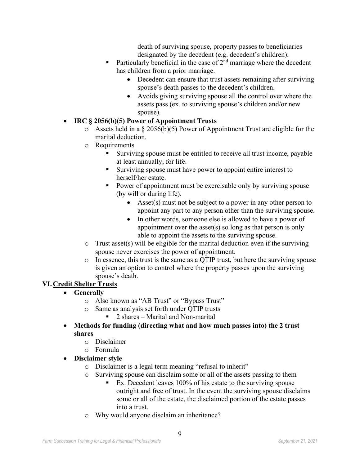death of surviving spouse, property passes to beneficiaries designated by the decedent (e.g. decedent's children).

- Particularly beneficial in the case of  $2<sup>nd</sup>$  marriage where the decedent has children from a prior marriage.
	- Decedent can ensure that trust assets remaining after surviving spouse's death passes to the decedent's children.
	- Avoids giving surviving spouse all the control over where the assets pass (ex. to surviving spouse's children and/or new spouse).

# • **IRC § 2056(b)(5) Power of Appointment Trusts**

- $\circ$  Assets held in a § 2056(b)(5) Power of Appointment Trust are eligible for the marital deduction.
- o Requirements
	- Surviving spouse must be entitled to receive all trust income, payable at least annually, for life.
	- Surviving spouse must have power to appoint entire interest to herself/her estate.
	- Power of appointment must be exercisable only by surviving spouse (by will or during life).
		- Asset(s) must not be subject to a power in any other person to appoint any part to any person other than the surviving spouse.
		- In other words, someone else is allowed to have a power of appointment over the asset(s) so long as that person is only able to appoint the assets to the surviving spouse.
- $\circ$  Trust asset(s) will be eligible for the marital deduction even if the surviving spouse never exercises the power of appointment.
- o In essence, this trust is the same as a QTIP trust, but here the surviving spouse is given an option to control where the property passes upon the surviving spouse's death.

# **VI.Credit Shelter Trusts**

- **Generally**
	- o Also known as "AB Trust" or "Bypass Trust"
	- o Same as analysis set forth under QTIP trusts
		- 2 shares Marital and Non-marital
- **Methods for funding (directing what and how much passes into) the 2 trust shares**
	- o Disclaimer
	- o Formula
- **Disclaimer style**
	- o Disclaimer is a legal term meaning "refusal to inherit"
	- o Surviving spouse can disclaim some or all of the assets passing to them<br>Ex. Decedent leaves 100% of his estate to the surviving spouse
		- Ex. Decedent leaves 100% of his estate to the surviving spouse outright and free of trust. In the event the surviving spouse disclaims some or all of the estate, the disclaimed portion of the estate passes into a trust.
	- o Why would anyone disclaim an inheritance?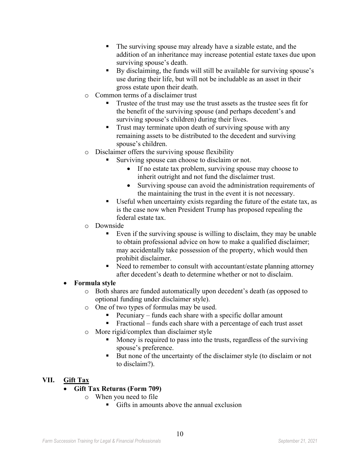- The surviving spouse may already have a sizable estate, and the addition of an inheritance may increase potential estate taxes due upon surviving spouse's death.
- By disclaiming, the funds will still be available for surviving spouse's use during their life, but will not be includable as an asset in their gross estate upon their death.
- o Common terms of a disclaimer trust
	- Trustee of the trust may use the trust assets as the trustee sees fit for the benefit of the surviving spouse (and perhaps decedent's and surviving spouse's children) during their lives.
	- **Trust may terminate upon death of surviving spouse with any** remaining assets to be distributed to the decedent and surviving spouse's children.
- o Disclaimer offers the surviving spouse flexibility
	- Surviving spouse can choose to disclaim or not.
		- If no estate tax problem, surviving spouse may choose to inherit outright and not fund the disclaimer trust.
		- Surviving spouse can avoid the administration requirements of the maintaining the trust in the event it is not necessary.
	- Useful when uncertainty exists regarding the future of the estate tax, as is the case now when President Trump has proposed repealing the federal estate tax.
- $\circ$  Downside<br>Eve
	- Even if the surviving spouse is willing to disclaim, they may be unable to obtain professional advice on how to make a qualified disclaimer; may accidentally take possession of the property, which would then prohibit disclaimer.
	- Need to remember to consult with accountant/estate planning attorney after decedent's death to determine whether or not to disclaim.

#### • **Formula style**

- o Both shares are funded automatically upon decedent's death (as opposed to optional funding under disclaimer style).
- o One of two types of formulas may be used.
	- Pecuniary funds each share with a specific dollar amount
	- Fractional funds each share with a percentage of each trust asset
- o More rigid/complex than disclaimer style
	- Money is required to pass into the trusts, regardless of the surviving spouse's preference.
	- But none of the uncertainty of the disclaimer style (to disclaim or not to disclaim?).

#### **VII. Gift Tax**

- **Gift Tax Returns (Form 709)**
	- o When you need to file
		- Gifts in amounts above the annual exclusion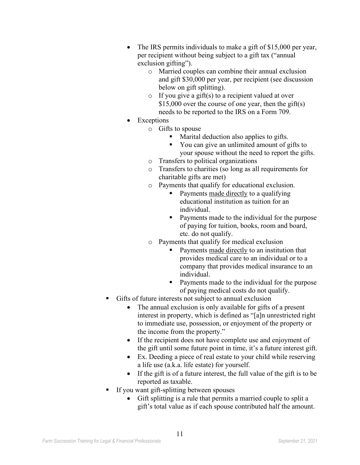- The IRS permits individuals to make a gift of \$15,000 per year, per recipient without being subject to a gift tax ("annual exclusion gifting").
	- o Married couples can combine their annual exclusion and gift \$30,000 per year, per recipient (see discussion below on gift splitting).
	- $\circ$  If you give a gift(s) to a recipient valued at over \$15,000 over the course of one year, then the gift(s) needs to be reported to the IRS on a Form 709.
- Exceptions
	- o Gifts to spouse
		- Marital deduction also applies to gifts.
		- You can give an unlimited amount of gifts to your spouse without the need to report the gifts.
	- o Transfers to political organizations
	- o Transfers to charities (so long as all requirements for charitable gifts are met)
	- o Payments that qualify for educational exclusion.
		- Payments made directly to a qualifying educational institution as tuition for an individual.
		- Payments made to the individual for the purpose of paying for tuition, books, room and board, etc. do not qualify.
	- o Payments that qualify for medical exclusion
		- Payments made directly to an institution that provides medical care to an individual or to a company that provides medical insurance to an individual.
		- Payments made to the individual for the purpose of paying medical costs do not qualify.
- Gifts of future interests not subject to annual exclusion
	- The annual exclusion is only available for gifts of a present interest in property, which is defined as "[a]n unrestricted right to immediate use, possession, or enjoyment of the property or the income from the property."
	- If the recipient does not have complete use and enjoyment of the gift until some future point in time, it's a future interest gift.
	- Ex. Deeding a piece of real estate to your child while reserving a life use (a.k.a. life estate) for yourself.
	- If the gift is of a future interest, the full value of the gift is to be reported as taxable.
- If you want gift-splitting between spouses
	- Gift splitting is a rule that permits a married couple to split a gift's total value as if each spouse contributed half the amount.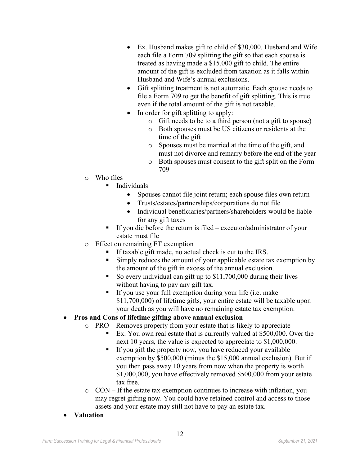- Ex. Husband makes gift to child of \$30,000. Husband and Wife each file a Form 709 splitting the gift so that each spouse is treated as having made a \$15,000 gift to child. The entire amount of the gift is excluded from taxation as it falls within Husband and Wife's annual exclusions.
- Gift splitting treatment is not automatic. Each spouse needs to file a Form 709 to get the benefit of gift splitting. This is true even if the total amount of the gift is not taxable.
- In order for gift splitting to apply:
	- o Gift needs to be to a third person (not a gift to spouse)
	- o Both spouses must be US citizens or residents at the time of the gift
	- o Spouses must be married at the time of the gift, and must not divorce and remarry before the end of the year
	- o Both spouses must consent to the gift split on the Form 709
- $\circ$  Who files
	- Individuals
		- Spouses cannot file joint return; each spouse files own return
		- Trusts/estates/partnerships/corporations do not file
		- Individual beneficiaries/partners/shareholders would be liable for any gift taxes
	- If you die before the return is filed executor/administrator of your estate must file
- o Effect on remaining ET exemption
	- If taxable gift made, no actual check is cut to the IRS.
	- Simply reduces the amount of your applicable estate tax exemption by the amount of the gift in excess of the annual exclusion.
	- So every individual can gift up to \$11,700,000 during their lives without having to pay any gift tax.
	- $\blacksquare$  If you use your full exemption during your life (i.e. make \$11,700,000) of lifetime gifts, your entire estate will be taxable upon your death as you will have no remaining estate tax exemption.

# • **Pros and Cons of lifetime gifting above annual exclusion**

- o PRO Removes property from your estate that is likely to appreciate
	- Ex. You own real estate that is currently valued at \$500,000. Over the next 10 years, the value is expected to appreciate to \$1,000,000.
	- If you gift the property now, you have reduced your available exemption by \$500,000 (minus the \$15,000 annual exclusion). But if you then pass away 10 years from now when the property is worth \$1,000,000, you have effectively removed \$500,000 from your estate tax free.
- o CON If the estate tax exemption continues to increase with inflation, you may regret gifting now. You could have retained control and access to those assets and your estate may still not have to pay an estate tax.
- **Valuation**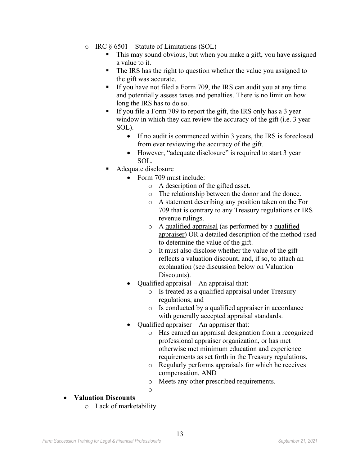- $\circ$  IRC  $\S 6501$  Statute of Limitations (SOL)
	- This may sound obvious, but when you make a gift, you have assigned a value to it.
	- The IRS has the right to question whether the value you assigned to the gift was accurate.
	- If you have not filed a Form 709, the IRS can audit you at any time and potentially assess taxes and penalties. There is no limit on how long the IRS has to do so.
	- If you file a Form 709 to report the gift, the IRS only has a 3 year window in which they can review the accuracy of the gift (i.e. 3 year SOL).
		- If no audit is commenced within 3 years, the IRS is foreclosed from ever reviewing the accuracy of the gift.
		- However, "adequate disclosure" is required to start 3 year SOL.
	- Adequate disclosure
		- Form 709 must include:
			- o A description of the gifted asset.
			- o The relationship between the donor and the donee.
			- o A statement describing any position taken on the For 709 that is contrary to any Treasury regulations or IRS revenue rulings.
			- o A qualified appraisal (as performed by a qualified appraiser) OR a detailed description of the method used to determine the value of the gift.
			- o It must also disclose whether the value of the gift reflects a valuation discount, and, if so, to attach an explanation (see discussion below on Valuation Discounts).
		- Qualified appraisal An appraisal that:
			- o Is treated as a qualified appraisal under Treasury regulations, and
			- o Is conducted by a qualified appraiser in accordance with generally accepted appraisal standards.
		- Qualified appraiser An appraiser that:
			- o Has earned an appraisal designation from a recognized professional appraiser organization, or has met otherwise met minimum education and experience requirements as set forth in the Treasury regulations,
			- o Regularly performs appraisals for which he receives compensation, AND
			- o Meets any other prescribed requirements.
			- o
- **Valuation Discounts**
	- o Lack of marketability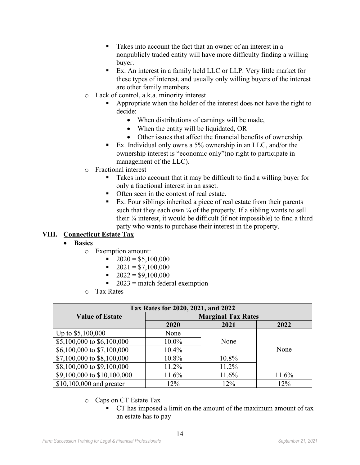- Takes into account the fact that an owner of an interest in a nonpublicly traded entity will have more difficulty finding a willing buyer.
- Ex. An interest in a family held LLC or LLP. Very little market for these types of interest, and usually only willing buyers of the interest are other family members.
- o Lack of control, a.k.a. minority interest
	- Appropriate when the holder of the interest does not have the right to decide:
		- When distributions of earnings will be made,
		- When the entity will be liquidated, OR
		- Other issues that affect the financial benefits of ownership.
	- Ex. Individual only owns a 5% ownership in an LLC, and/or the ownership interest is "economic only"(no right to participate in management of the LLC).
- o Fractional interest
	- Takes into account that it may be difficult to find a willing buyer for only a fractional interest in an asset.
	- Often seen in the context of real estate.
	- Ex. Four siblings inherited a piece of real estate from their parents such that they each own  $\frac{1}{4}$  of the property. If a sibling wants to sell their ¼ interest, it would be difficult (if not impossible) to find a third party who wants to purchase their interest in the property.

# **VIII. Connecticut Estate Tax**

- **Basics**
	- o Exemption amount:
		- $\bullet$  2020 = \$5,100,000
		- $2021 = $7,100,000$
		- $2022 = $9,100,000$
		- $\sim 2023$  = match federal exemption
	- o Tax Rates

| Tax Rates for 2020, 2021, and 2022 |                           |       |       |
|------------------------------------|---------------------------|-------|-------|
| <b>Value of Estate</b>             | <b>Marginal Tax Rates</b> |       |       |
|                                    | 2020                      | 2021  | 2022  |
| Up to $$5,100,000$                 | None                      |       |       |
| \$5,100,000 to \$6,100,000         | 10.0%                     | None  |       |
| \$6,100,000 to \$7,100,000         | $10.4\%$                  |       | None  |
| \$7,100,000 to \$8,100,000         | 10.8%                     | 10.8% |       |
| \$8,100,000 to \$9,100,000         | 11.2%                     | 11.2% |       |
| \$9,100,000 to \$10,100,000        | 11.6%                     | 11.6% | 11.6% |
| \$10,100,000 and greater           | 12%                       | 12%   | 12%   |

- o Caps on CT Estate Tax
	- CT has imposed a limit on the amount of the maximum amount of tax an estate has to pay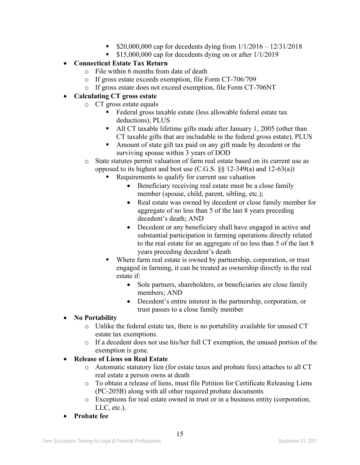- $\bullet$  \$20,000,000 cap for decedents dying from  $1/1/2016 12/31/2018$
- $\bullet$  \$15,000,000 cap for decedents dying on or after 1/1/2019

# • **Connecticut Estate Tax Return**

- o File within 6 months from date of death
- o If gross estate exceeds exemption, file Form CT-706/709
- o If gross estate does not exceed exemption, file Form CT-706NT

# • **Calculating CT gross estate**

- o CT gross estate equals
	- Federal gross taxable estate (less allowable federal estate tax deductions), PLUS
	- All CT taxable lifetime gifts made after January 1, 2005 (other than CT taxable gifts that are includable in the federal gross estate), PLUS
	- Amount of state gift tax paid on any gift made by decedent or the surviving spouse within 3 years of DOD
- o State statutes permit valuation of farm real estate based on its current use as opposed to its highest and best use (C.G.S. §§ 12-349(a) and 12-63(a))
	- Requirements to qualify for current use valuation
		- Beneficiary receiving real estate must be a close family member (spouse, child, parent, sibling, etc.);
		- Real estate was owned by decedent or close family member for aggregate of no less than 5 of the last 8 years preceding decedent's death; AND
		- Decedent or any beneficiary shall have engaged in active and substantial participation in farming operations directly related to the real estate for an aggregate of no less than 5 of the last 8 years preceding decedent's death
	- Where farm real estate is owned by partnership, corporation, or trust engaged in farming, it can be treated as ownership directly in the real estate if:
		- Sole partners, shareholders, or beneficiaries are close family members; AND
		- Decedent's entire interest in the partnership, corporation, or trust passes to a close family member

# • **No Portability**

- o Unlike the federal estate tax, there is no portability available for unused CT estate tax exemptions.
- o If a decedent does not use his/her full CT exemption, the unused portion of the exemption is gone.

# • **Release of Liens on Real Estate**

- o Automatic statutory lien (for estate taxes and probate fees) attaches to all CT real estate a person owns at death
- o To obtain a release of liens, must file Petition for Certificate Releasing Liens (PC-205B) along with all other required probate documents
- o Exceptions for real estate owned in trust or in a business entity (corporation, LLC, etc.).
- **Probate fee**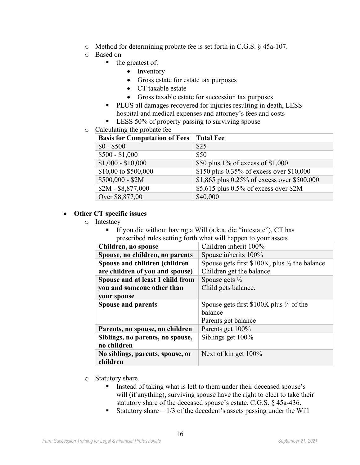- o Method for determining probate fee is set forth in C.G.S. § 45a-107.
- o Based on
	- $\blacksquare$  the greatest of:
		- Inventory
		- Gross estate for estate tax purposes
		- CT taxable estate
		- Gross taxable estate for succession tax purposes
	- PLUS all damages recovered for injuries resulting in death, LESS hospital and medical expenses and attorney's fees and costs
	- LESS 50% of property passing to surviving spouse
- o Calculating the probate fee

| <b>Basis for Computation of Fees</b> | <b>Total Fee</b>                            |
|--------------------------------------|---------------------------------------------|
| $$0 - $500$                          | \$25                                        |
| $$500 - $1,000$                      | \$50                                        |
| $$1,000 - $10,000$                   | \$50 plus $1\%$ of excess of \$1,000        |
| \$10,00 to \$500,000                 | \$150 plus 0.35% of excess over \$10,000    |
| $$500,000 - $2M$$                    | \$1,865 plus 0.25% of excess over \$500,000 |
| $$2M - $8,877,000$                   | \$5,615 plus 0.5% of excess over \$2M       |
| Over \$8,877,00                      | \$40,000                                    |

#### • **Other CT specific issues**

- o Intestacy
	- If you die without having a Will (a.k.a. die "intestate"), CT has prescribed rules setting forth what will happen to your assets.

| Children inherit 100%                                      |
|------------------------------------------------------------|
| Spouse inherits 100%                                       |
| Spouse gets first $$100K$ , plus $\frac{1}{2}$ the balance |
| Children get the balance                                   |
| Spouse gets $\frac{1}{2}$                                  |
| Child gets balance.                                        |
|                                                            |
| Spouse gets first $$100K$ plus $\frac{3}{4}$ of the        |
| balance                                                    |
| Parents get balance                                        |
| Parents get 100%                                           |
| Siblings get 100%                                          |
|                                                            |
| Next of kin get 100%                                       |
|                                                            |
|                                                            |

- o Statutory share
	- Instead of taking what is left to them under their deceased spouse's will (if anything), surviving spouse have the right to elect to take their statutory share of the deceased spouse's estate. C.G.S. § 45a-436.
	- Statutory share  $= 1/3$  of the decedent's assets passing under the Will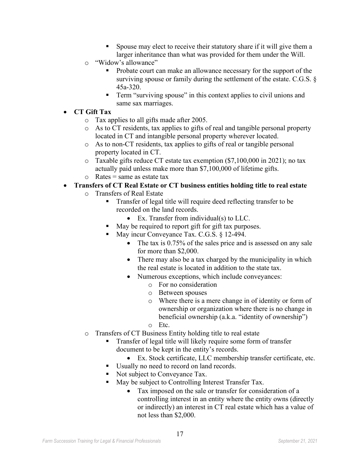- Spouse may elect to receive their statutory share if it will give them a larger inheritance than what was provided for them under the Will.
- o "Widow's allowance"
	- **Probate court can make an allowance necessary for the support of the** surviving spouse or family during the settlement of the estate. C.G.S. § 45a-320.
	- **Term "surviving spouse" in this context applies to civil unions and** same sax marriages.
- **CT Gift Tax**
	- o Tax applies to all gifts made after 2005.
	- o As to CT residents, tax applies to gifts of real and tangible personal property located in CT and intangible personal property wherever located.
	- o As to non-CT residents, tax applies to gifts of real or tangible personal property located in CT.
	- o Taxable gifts reduce CT estate tax exemption (\$7,100,000 in 2021); no tax actually paid unless make more than \$7,100,000 of lifetime gifts.
	- $\circ$  Rates = same as estate tax
- **Transfers of CT Real Estate or CT business entities holding title to real estate**
	- o Transfers of Real Estate
		- Transfer of legal title will require deed reflecting transfer to be recorded on the land records.
			- Ex. Transfer from individual(s) to LLC.
		- May be required to report gift for gift tax purposes.
		- May incur Conveyance Tax. C.G.S. § 12-494.
			- The tax is 0.75% of the sales price and is assessed on any sale for more than \$2,000.
			- There may also be a tax charged by the municipality in which the real estate is located in addition to the state tax.
			- Numerous exceptions, which include conveyances:
				- o For no consideration
				- o Between spouses
				- o Where there is a mere change in of identity or form of ownership or organization where there is no change in beneficial ownership (a.k.a. "identity of ownership")
				- o Etc.
	- o Transfers of CT Business Entity holding title to real estate
		- Transfer of legal title will likely require some form of transfer document to be kept in the entity's records.
			- Ex. Stock certificate, LLC membership transfer certificate, etc.
		- Usually no need to record on land records.
		- Not subject to Conveyance Tax.
		- May be subject to Controlling Interest Transfer Tax.
			- Tax imposed on the sale or transfer for consideration of a controlling interest in an entity where the entity owns (directly or indirectly) an interest in CT real estate which has a value of not less than \$2,000.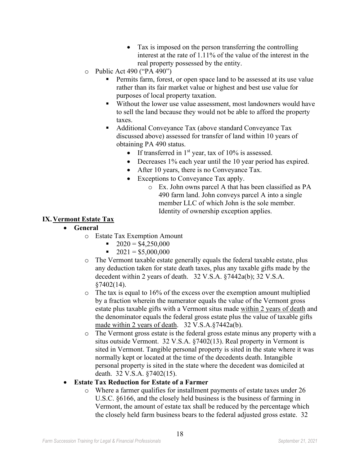- Tax is imposed on the person transferring the controlling interest at the rate of 1.11% of the value of the interest in the real property possessed by the entity.
- o Public Act 490 ("PA 490")
	- Permits farm, forest, or open space land to be assessed at its use value rather than its fair market value or highest and best use value for purposes of local property taxation.
	- Without the lower use value assessment, most landowners would have to sell the land because they would not be able to afford the property taxes.
	- Additional Conveyance Tax (above standard Conveyance Tax discussed above) assessed for transfer of land within 10 years of obtaining PA 490 status.
		- If transferred in  $1<sup>st</sup>$  year, tax of  $10\%$  is assessed.
		- Decreases 1% each year until the 10 year period has expired.
		- After 10 years, there is no Conveyance Tax.
		- Exceptions to Conveyance Tax apply.
			- o Ex. John owns parcel A that has been classified as PA 490 farm land. John conveys parcel A into a single member LLC of which John is the sole member. Identity of ownership exception applies.

#### **IX.Vermont Estate Tax**

- **General**
	- o Estate Tax Exemption Amount
		- $\bullet$  2020 = \$4,250,000
		- $\blacksquare$  2021 = \$5,000,000
	- o The Vermont taxable estate generally equals the federal taxable estate, plus any deduction taken for state death taxes, plus any taxable gifts made by the decedent within 2 years of death. 32 V.S.A. §7442a(b); 32 V.S.A.  $$7402(14).$
	- $\circ$  The tax is equal to 16% of the excess over the exemption amount multiplied by a fraction wherein the numerator equals the value of the Vermont gross estate plus taxable gifts with a Vermont situs made within 2 years of death and the denominator equals the federal gross estate plus the value of taxable gifts made within 2 years of death. 32 V.S.A.§7442a(b).
	- o The Vermont gross estate is the federal gross estate minus any property with a situs outside Vermont. 32 V.S.A. §7402(13). Real property in Vermont is sited in Vermont. Tangible personal property is sited in the state where it was normally kept or located at the time of the decedents death. Intangible personal property is sited in the state where the decedent was domiciled at death. 32 V.S.A. §7402(15).
- **Estate Tax Reduction for Estate of a Farmer**
	- o Where a farmer qualifies for installment payments of estate taxes under 26 U.S.C. §6166, and the closely held business is the business of farming in Vermont, the amount of estate tax shall be reduced by the percentage which the closely held farm business bears to the federal adjusted gross estate. 32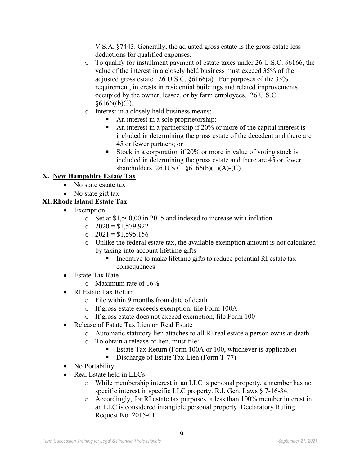V.S.A. §7443. Generally, the adjusted gross estate is the gross estate less deductions for qualified expenses.

- $\circ$  To qualify for installment payment of estate taxes under 26 U.S.C. §6166, the value of the interest in a closely held business must exceed 35% of the adjusted gross estate. 26 U.S.C. §6166(a). For purposes of the 35% requirement, interests in residential buildings and related improvements occupied by the owner, lessee, or by farm employees. 26 U.S.C.  $§6166((b)(3).$
- o Interest in a closely held business means:
	- An interest in a sole proprietorship;
	- An interest in a partnership if  $20\%$  or more of the capital interest is included in determining the gross estate of the decedent and there are 45 or fewer partners; or
	- Stock in a corporation if 20% or more in value of voting stock is included in determining the gross estate and there are 45 or fewer shareholders. 26 U.S.C. §6166(b)(1)(A)-(C).

# **X. New Hampshire Estate Tax**

- No state estate tax
- No state gift tax

# **XI.Rhode Island Estate Tax**

- Exemption
	- o Set at \$1,500,00 in 2015 and indexed to increase with inflation
	- $O$   $2020 = $1,579,922$
	- $\Omega$  2021 = \$1,595,156
	- o Unlike the federal estate tax, the available exemption amount is not calculated by taking into account lifetime gifts
		- Incentive to make lifetime gifts to reduce potential RI estate tax consequences
- Estate Tax Rate
	- o Maximum rate of 16%
- RI Estate Tax Return
	- o File within 9 months from date of death
	- o If gross estate exceeds exemption, file Form 100A
	- o If gross estate does not exceed exemption, file Form 100
- Release of Estate Tax Lien on Real Estate
	- o Automatic statutory lien attaches to all RI real estate a person owns at death
	- o To obtain a release of lien, must file:
		- Estate Tax Return (Form 100A or 100, whichever is applicable)
		- Discharge of Estate Tax Lien (Form T-77)
- No Portability
- Real Estate held in LLCs
	- o While membership interest in an LLC is personal property, a member has no specific interest in specific LLC property. R.I. Gen. Laws § 7-16-34.
	- o Accordingly, for RI estate tax purposes, a less than 100% member interest in an LLC is considered intangible personal property. Declaratory Ruling Request No. 2015-01.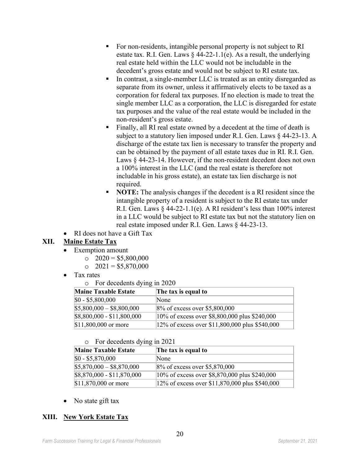- For non-residents, intangible personal property is not subject to RI estate tax. R.I. Gen. Laws  $\S$  44-22-1.1(e). As a result, the underlying real estate held within the LLC would not be includable in the decedent's gross estate and would not be subject to RI estate tax.
- In contrast, a single-member LLC is treated as an entity disregarded as separate from its owner, unless it affirmatively elects to be taxed as a corporation for federal tax purposes. If no election is made to treat the single member LLC as a corporation, the LLC is disregarded for estate tax purposes and the value of the real estate would be included in the non-resident's gross estate.
- Finally, all RI real estate owned by a decedent at the time of death is subject to a statutory lien imposed under R.I. Gen. Laws § 44-23-13. A discharge of the estate tax lien is necessary to transfer the property and can be obtained by the payment of all estate taxes due in RI. R.I. Gen. Laws § 44-23-14. However, if the non-resident decedent does not own a 100% interest in the LLC (and the real estate is therefore not includable in his gross estate), an estate tax lien discharge is not required.
- **NOTE:** The analysis changes if the decedent is a RI resident since the intangible property of a resident is subject to the RI estate tax under R.I. Gen. Laws  $\S$  44-22-1.1(e). A RI resident's less than 100% interest in a LLC would be subject to RI estate tax but not the statutory lien on real estate imposed under R.I. Gen. Laws § 44-23-13.
- RI does not have a Gift Tax

# **XII. Maine Estate Tax**

- Exemption amount
	- $\degree$  2020 = \$5,800,000
	- $\degree$  2021 = \$5,870,000
- Tax rates
	- o For decedents dying in 2020

| <b>Maine Taxable Estate</b> | The tax is equal to                                |
|-----------------------------|----------------------------------------------------|
| $$0 - $5,800,000$           | None                                               |
| $$5,800,000 - $8,800,000$   | $8\%$ of excess over \$5,800,000                   |
| \$8,800,000 - \$11,800,000  | $ 10\%$ of excess over \$8,800,000 plus \$240,000  |
| \$11,800,000 or more        | $ 12\%$ of excess over \$11,800,000 plus \$540,000 |

o For decedents dying in 2021

| <b>Maine Taxable Estate</b> | The tax is equal to                            |
|-----------------------------|------------------------------------------------|
| $$0 - $5,870,000$           | None                                           |
| $$5,870,000 - $8,870,000$   | 8% of excess over \$5,870,000                  |
| $$8,870,000 - $11,870,000$  | 10% of excess over \$8,870,000 plus \$240,000  |
| \$11,870,000 or more        | 12% of excess over \$11,870,000 plus \$540,000 |

• No state gift tax

# **XIII. New York Estate Tax**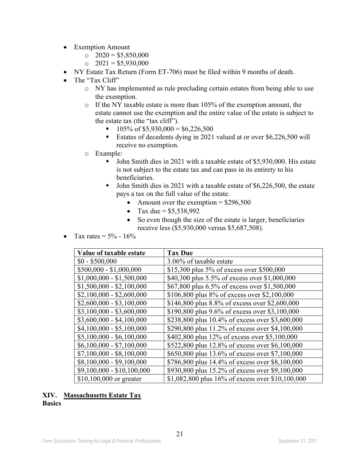- Exemption Amount
	- $\degree$  2020 = \$5,850,000
	- $\degree$  2021 = \$5,930,000
- NY Estate Tax Return (Form ET-706) must be filed within 9 months of death.
- The "Tax Cliff"
	- o NY has implemented as rule precluding certain estates from being able to use the exemption.
	- o If the NY taxable estate is more than 105% of the exemption amount, the estate cannot use the exemption and the entire value of the estate is subject to the estate tax (the "tax cliff").
		- $\blacksquare$  105% of \$5,930,000 = \$6,226,500
		- Estates of decedents dying in 2021 valued at or over \$6,226,500 will receive no exemption.
	- o Example:
		- John Smith dies in 2021 with a taxable estate of \$5,930,000. His estate is not subject to the estate tax and can pass in its entirety to his beneficiaries.
		- John Smith dies in 2021 with a taxable estate of \$6,226,500, the estate pays a tax on the full value of the estate.
			- Amount over the exemption  $= $296,500$
			- Tax due =  $$5,538,992$
			- So even though the size of the estate is larger, beneficiaries receive less (\$5,930,000 versus \$5,687,508).
- Tax rates =  $5\%$   $16\%$

| Value of taxable estate    | <b>Tax Due</b>                                   |
|----------------------------|--------------------------------------------------|
| $$0 - $500,000$            | 3.06% of taxable estate                          |
| $$500,000 - $1,000,000$    | \$15,300 plus 5% of excess over \$500,000        |
| $$1,000,000 - $1,500,000$  | \$40,300 plus 5.5% of excess over \$1,000,000    |
| $$1,500,000 - $2,100,000$  | \$67,800 plus 6.5% of excess over \$1,500,000    |
| $$2,100,000 - $2,600,000$  | \$106,800 plus 8% of excess over \$2,100,000     |
| $$2,600,000 - $3,100,000$  | \$146,800 plus 8.8% of excess over \$2,600,000   |
| $$3,100,000 - $3,600,000$  | \$190,800 plus 9.6% of excess over \$3,100,000   |
| $$3,600,000 - $4,100,000$  | \$238,800 plus 10.4% of excess over \$3,600,000  |
| $$4,100,000 - $5,100,000$  | \$290,800 plus 11.2% of excess over \$4,100,000  |
| $$5,100,000 - $6,100,000$  | \$402,800 plus 12% of excess over \$5,100,000    |
| $$6,100,000 - $7,100,000$  | \$522,800 plus 12.8% of excess over \$6,100,000  |
| $$7,100,000 - $8,100,000$  | \$650,800 plus 13.6% of excess over \$7,100,000  |
| $$8,100,000 - $9,100,000$  | \$786,800 plus 14.4% of excess over \$8,100,000  |
| $$9,100,000 - $10,100,000$ | \$930,800 plus 15.2% of excess over \$9,100,000  |
| $$10,100,000$ or greater   | \$1,082,800 plus 16% of excess over \$10,100,000 |

#### **XIV. Massachusetts Estate Tax Basics**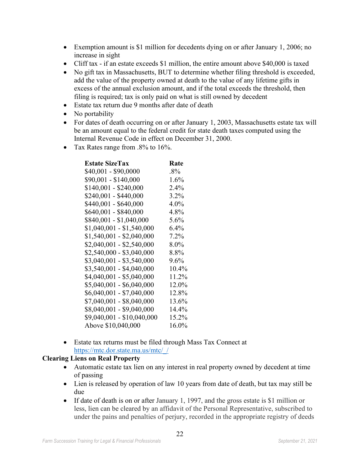- Exemption amount is \$1 million for decedents dying on or after January 1, 2006; no increase in sight
- Cliff tax if an estate exceeds \$1 million, the entire amount above \$40,000 is taxed
- No gift tax in Massachusetts, BUT to determine whether filing threshold is exceeded, add the value of the property owned at death to the value of any lifetime gifts in excess of the annual exclusion amount, and if the total exceeds the threshold, then filing is required; tax is only paid on what is still owned by decedent
- Estate tax return due 9 months after date of death
- No portability
- For dates of death occurring on or after January 1, 2003, Massachusetts estate tax will be an amount equal to the federal credit for state death taxes computed using the Internal Revenue Code in effect on December 31, 2000.
- Tax Rates range from .8% to 16%.

| <b>Estate SizeTax</b>      | Rate     |
|----------------------------|----------|
| \$40,001 - \$90,0000       | $.8\%$   |
| \$90,001 - \$140,000       | $1.6\%$  |
| $$140,001 - $240,000$      | $2.4\%$  |
| \$240,001 - \$440,000      | $3.2\%$  |
| \$440,001 - \$640,000      | $4.0\%$  |
| \$640,001 - \$840,000      | 4.8%     |
| \$840,001 - \$1,040,000    | 5.6%     |
| $$1,040,001 - $1,540,000$  | $6.4\%$  |
| $$1,540,001 - $2,040,000$  | 7.2%     |
| $$2,040,001 - $2,540,000$  | $8.0\%$  |
| $$2,540,000 - $3,040,000$  | 8.8%     |
| $$3,040,001 - $3,540,000$  | 9.6%     |
| $$3,540,001 - $4,040,000$  | $10.4\%$ |
| $$4,040,001 - $5,040,000$  | 11.2%    |
| $$5,040,001 - $6,040,000$  | 12.0%    |
| $$6,040,001 - $7,040,000$  | 12.8%    |
| $$7,040,001 - $8,040,000$  | 13.6%    |
| $$8,040,001 - $9,040,000$  | $14.4\%$ |
| \$9,040,001 - \$10,040,000 | 15.2%    |
| Above \$10,040,000         | 16.0%    |

• Estate tax returns must be filed through Mass Tax Connect at [https://mtc.dor.state.ma.us/mtc/\\_/](https://mtc.dor.state.ma.us/mtc/_/)

#### **Clearing Liens on Real Property**

- Automatic estate tax lien on any interest in real property owned by decedent at time of passing
- Lien is released by operation of law 10 years from date of death, but tax may still be due
- If date of death is on or after January 1, 1997, and the gross estate is \$1 million or less, lien can be cleared by an affidavit of the Personal Representative, subscribed to under the pains and penalties of perjury, recorded in the appropriate registry of deeds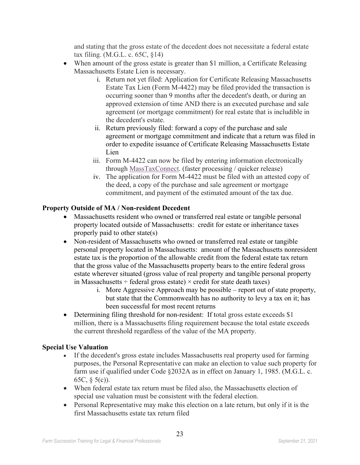and stating that the gross estate of the decedent does not necessitate a federal estate tax filing. (M.G.L. c. 65C, §14)

- When amount of the gross estate is greater than \$1 million, a Certificate Releasing Massachusetts Estate Lien is necessary.
	- i. Return not yet filed: Application for Certificate Releasing Massachusetts Estate Tax Lien (Form M-4422) may be filed provided the transaction is occurring sooner than 9 months after the decedent's death, or during an approved extension of time AND there is an executed purchase and sale agreement (or mortgage commitment) for real estate that is includible in the decedent's estate.
	- ii. Return previously filed: forward a copy of the purchase and sale agreement or mortgage commitment and indicate that a return was filed in order to expedite issuance of Certificate Releasing Massachusetts Estate Lien
	- iii. Form M-4422 can now be filed by entering information electronically through [MassTaxConnect.](https://mtc.dor.state.ma.us/mtc/_/) (faster processing / quicker release)
	- iv. The application for Form M-4422 must be filed with an attested copy of the deed, a copy of the purchase and sale agreement or mortgage commitment, and payment of the estimated amount of the tax due.

#### **Property Outside of MA / Non-resident Decedent**

- Massachusetts resident who owned or transferred real estate or tangible personal property located outside of Massachusetts: credit for estate or inheritance taxes properly paid to other state(s)
- Non-resident of Massachusetts who owned or transferred real estate or tangible personal property located in Massachusetts: amount of the Massachusetts nonresident estate tax is the proportion of the allowable credit from the federal estate tax return that the gross value of the Massachusetts property bears to the entire federal gross estate wherever situated (gross value of real property and tangible personal property in Massachusetts  $\div$  federal gross estate)  $\times$  credit for state death taxes)
	- i. More Aggressive Approach may be possible report out of state property, but state that the Commonwealth has no authority to levy a tax on it; has been successful for most recent returns
- Determining filing threshold for non-resident: If total gross estate exceeds \$1 million, there is a Massachusetts filing requirement because the total estate exceeds the current threshold regardless of the value of the MA property.

#### **Special Use Valuation**

- If the decedent's gross estate includes Massachusetts real property used for farming purposes, the Personal Representative can make an election to value such property for farm use if qualified under Code §2032A as in effect on January 1, 1985. (M.G.L. c. 65C, § 5(c)).
- When federal estate tax return must be filed also, the Massachusetts election of special use valuation must be consistent with the federal election.
- Personal Representative may make this election on a late return, but only if it is the first Massachusetts estate tax return filed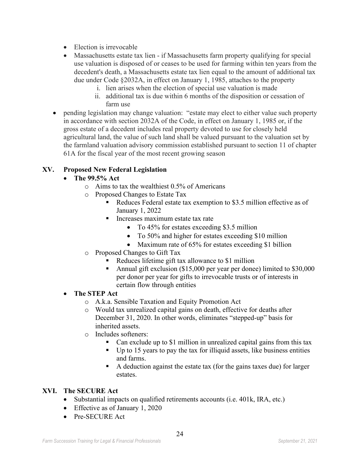- Election is irrevocable
- Massachusetts estate tax lien if Massachusetts farm property qualifying for special use valuation is disposed of or ceases to be used for farming within ten years from the decedent's death, a Massachusetts estate tax lien equal to the amount of additional tax due under Code §2032A, in effect on January 1, 1985, attaches to the property
	- i. lien arises when the election of special use valuation is made
	- ii. additional tax is due within 6 months of the disposition or cessation of farm use
- pending legislation may change valuation: "estate may elect to either value such property in accordance with section 2032A of the Code, in effect on January 1, 1985 or, if the gross estate of a decedent includes real property devoted to use for closely held agricultural land, the value of such land shall be valued pursuant to the valuation set by the farmland valuation advisory commission established pursuant to section 11 of chapter 61A for the fiscal year of the most recent growing season

### **XV. Proposed New Federal Legislation**

### • **The 99.5% Act**

- o Aims to tax the wealthiest 0.5% of Americans
- o Proposed Changes to Estate Tax
	- Reduces Federal estate tax exemption to \$3.5 million effective as of January 1, 2022
	- Increases maximum estate tax rate
		- To 45% for estates exceeding \$3.5 million
		- To 50% and higher for estates exceeding \$10 million
		- Maximum rate of 65% for estates exceeding \$1 billion
- o Proposed Changes to Gift Tax
	- Reduces lifetime gift tax allowance to \$1 million
	- Annual gift exclusion (\$15,000 per year per donee) limited to \$30,000 per donor per year for gifts to irrevocable trusts or of interests in certain flow through entities

#### • **The STEP Act**

- o A.k.a. Sensible Taxation and Equity Promotion Act
- o Would tax unrealized capital gains on death, effective for deaths after December 31, 2020. In other words, eliminates "stepped-up" basis for inherited assets.
- o Includes softeners:
	- Can exclude up to \$1 million in unrealized capital gains from this tax
	- $\blacksquare$  Up to 15 years to pay the tax for illiquid assets, like business entities and farms.
	- A deduction against the estate tax (for the gains taxes due) for larger estates.

#### **XVI. The SECURE Act**

- Substantial impacts on qualified retirements accounts (i.e. 401k, IRA, etc.)
- Effective as of January 1, 2020
- Pre-SECURE Act